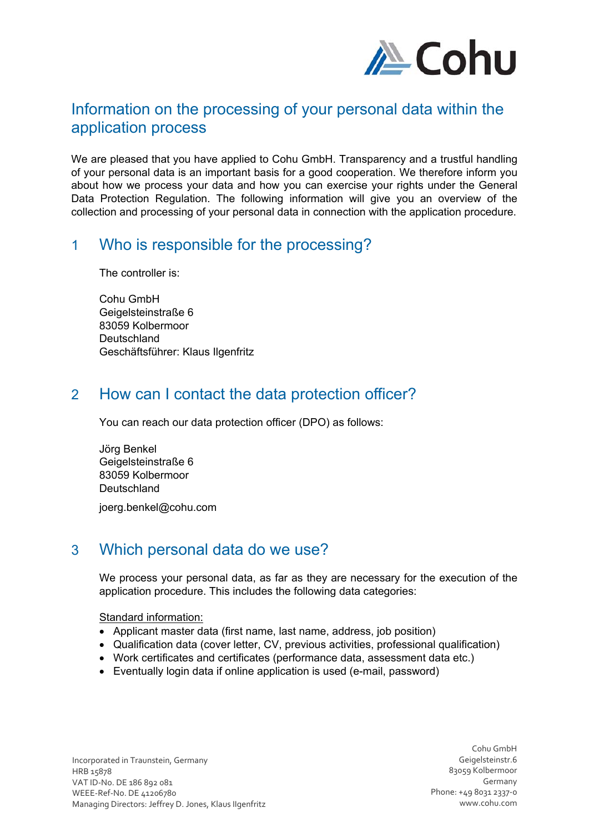

# Information on the processing of your personal data within the application process

We are pleased that you have applied to Cohu GmbH. Transparency and a trustful handling of your personal data is an important basis for a good cooperation. We therefore inform you about how we process your data and how you can exercise your rights under the General Data Protection Regulation. The following information will give you an overview of the collection and processing of your personal data in connection with the application procedure.

### 1 Who is responsible for the processing?

The controller is:

Cohu GmbH Geigelsteinstraße 6 83059 Kolbermoor **Deutschland** Geschäftsführer: Klaus Ilgenfritz

# 2 How can I contact the data protection officer?

You can reach our data protection officer (DPO) as follows:

Jörg Benkel Geigelsteinstraße 6 83059 Kolbermoor **Deutschland** joerg.benkel@cohu.com

# 3 Which personal data do we use?

We process your personal data, as far as they are necessary for the execution of the application procedure. This includes the following data categories:

### Standard information:

- Applicant master data (first name, last name, address, job position)
- Qualification data (cover letter, CV, previous activities, professional qualification)
- Work certificates and certificates (performance data, assessment data etc.)
- Eventually login data if online application is used (e-mail, password)

Incorporated in Traunstein, Germany HRB 15878 VAT ID‐No. DE 186 892 081 WEEE‐Ref‐No. DE 41206780 Managing Directors: Jeffrey D. Jones, Klaus IIgenfritz

Cohu GmbH Geigelsteinstr.6 83059 Kolbermoor Germany Phone: +49 8031 2337‐0 www.cohu.com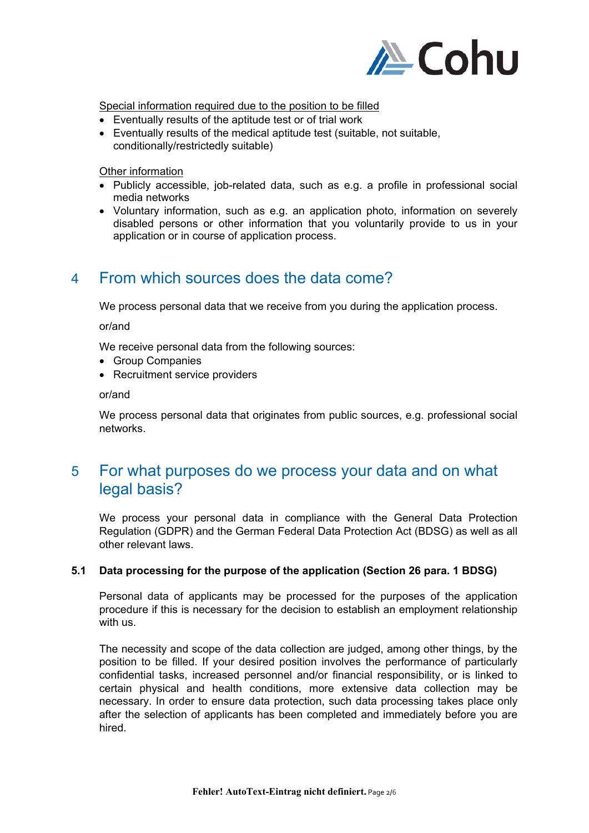

Special information required due to the position to be filled

- Eventually results of the aptitude test or of trial work
- Eventually results of the medical aptitude test (suitable, not suitable, conditionally/restrictedly suitable)

#### Other information

- Publicly accessible, job-related data, such as e.g. a profile in professional social media networks
- Voluntary information, such as e.g. an application photo, information on severely disabled persons or other information that you voluntarily provide to us in your application or in course of application process.

### 4 From which sources does the data come?

We process personal data that we receive from you during the application process.

or/and

We receive personal data from the following sources:

- Group Companies
- Recruitment service providers

or/and

We process personal data that originates from public sources, e.g. professional social networks.

### 5 For what purposes do we process your data and on what legal basis?

We process your personal data in compliance with the General Data Protection Regulation (GDPR) and the German Federal Data Protection Act (BDSG) as well as all other relevant laws.

### **5.1 Data processing for the purpose of the application (Section 26 para. 1 BDSG)**

Personal data of applicants may be processed for the purposes of the application procedure if this is necessary for the decision to establish an employment relationship with us.

The necessity and scope of the data collection are judged, among other things, by the position to be filled. If your desired position involves the performance of particularly confidential tasks, increased personnel and/or financial responsibility, or is linked to certain physical and health conditions, more extensive data collection may be necessary. In order to ensure data protection, such data processing takes place only after the selection of applicants has been completed and immediately before you are hired.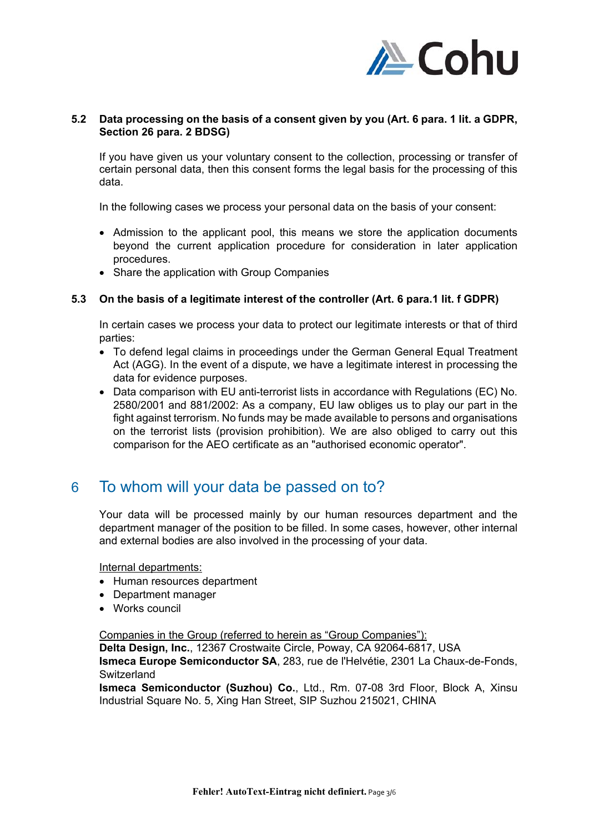

#### **5.2 Data processing on the basis of a consent given by you (Art. 6 para. 1 lit. a GDPR, Section 26 para. 2 BDSG)**

If you have given us your voluntary consent to the collection, processing or transfer of certain personal data, then this consent forms the legal basis for the processing of this data.

In the following cases we process your personal data on the basis of your consent:

- Admission to the applicant pool, this means we store the application documents beyond the current application procedure for consideration in later application procedures.
- Share the application with Group Companies

#### **5.3 On the basis of a legitimate interest of the controller (Art. 6 para.1 lit. f GDPR)**

In certain cases we process your data to protect our legitimate interests or that of third parties:

- To defend legal claims in proceedings under the German General Equal Treatment Act (AGG). In the event of a dispute, we have a legitimate interest in processing the data for evidence purposes.
- Data comparison with EU anti-terrorist lists in accordance with Regulations (EC) No. 2580/2001 and 881/2002: As a company, EU law obliges us to play our part in the fight against terrorism. No funds may be made available to persons and organisations on the terrorist lists (provision prohibition). We are also obliged to carry out this comparison for the AEO certificate as an "authorised economic operator".

### 6 To whom will your data be passed on to?

Your data will be processed mainly by our human resources department and the department manager of the position to be filled. In some cases, however, other internal and external bodies are also involved in the processing of your data.

Internal departments:

- Human resources department
- Department manager
- Works council

#### Companies in the Group (referred to herein as "Group Companies"):

**Delta Design, Inc.**, 12367 Crostwaite Circle, Poway, CA 92064-6817, USA **Ismeca Europe Semiconductor SA**, 283, rue de l'Helvétie, 2301 La Chaux-de-Fonds,

Switzerland

**Ismeca Semiconductor (Suzhou) Co.**, Ltd., Rm. 07-08 3rd Floor, Block A, Xinsu Industrial Square No. 5, Xing Han Street, SIP Suzhou 215021, CHINA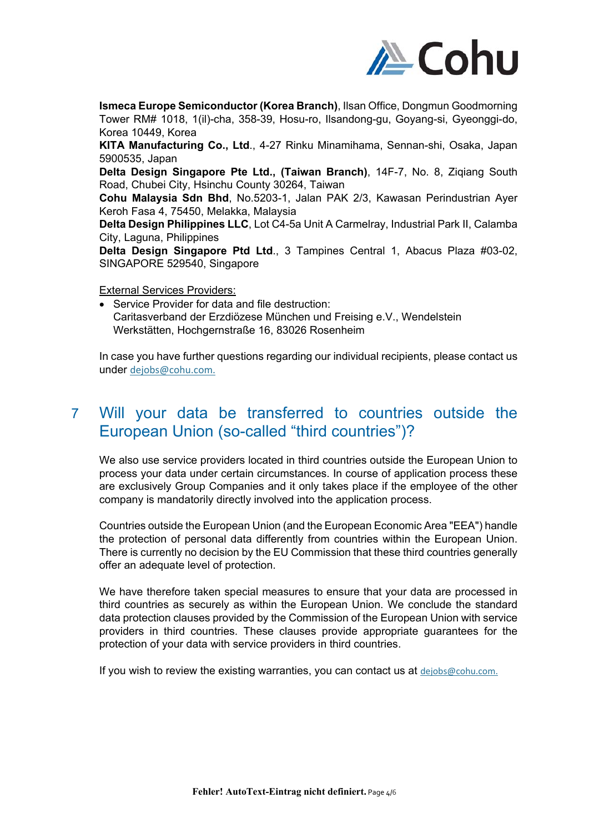

**Ismeca Europe Semiconductor (Korea Branch)**, Ilsan Office, Dongmun Goodmorning Tower RM# 1018, 1(il)-cha, 358-39, Hosu-ro, Ilsandong-gu, Goyang-si, Gyeonggi-do, Korea 10449, Korea

**KITA Manufacturing Co., Ltd**., 4-27 Rinku Minamihama, Sennan-shi, Osaka, Japan 5900535, Japan

**Delta Design Singapore Pte Ltd., (Taiwan Branch)**, 14F-7, No. 8, Ziqiang South Road, Chubei City, Hsinchu County 30264, Taiwan

**Cohu Malaysia Sdn Bhd**, No.5203-1, Jalan PAK 2/3, Kawasan Perindustrian Ayer Keroh Fasa 4, 75450, Melakka, Malaysia

**Delta Design Philippines LLC**, Lot C4-5a Unit A Carmelray, Industrial Park II, Calamba City, Laguna, Philippines

**Delta Design Singapore Ptd Ltd**., 3 Tampines Central 1, Abacus Plaza #03-02, SINGAPORE 529540, Singapore

External Services Providers:

 Service Provider for data and file destruction: Caritasverband der Erzdiözese München und Freising e.V., Wendelstein Werkstätten, Hochgernstraße 16, 83026 Rosenheim

In case you have further questions regarding our individual recipients, please contact us under dejobs@cohu.com.

# 7 Will your data be transferred to countries outside the European Union (so-called "third countries")?

We also use service providers located in third countries outside the European Union to process your data under certain circumstances. In course of application process these are exclusively Group Companies and it only takes place if the employee of the other company is mandatorily directly involved into the application process.

Countries outside the European Union (and the European Economic Area "EEA") handle the protection of personal data differently from countries within the European Union. There is currently no decision by the EU Commission that these third countries generally offer an adequate level of protection.

We have therefore taken special measures to ensure that your data are processed in third countries as securely as within the European Union. We conclude the standard data protection clauses provided by the Commission of the European Union with service providers in third countries. These clauses provide appropriate guarantees for the protection of your data with service providers in third countries.

If you wish to review the existing warranties, you can contact us at dejobs@cohu.com.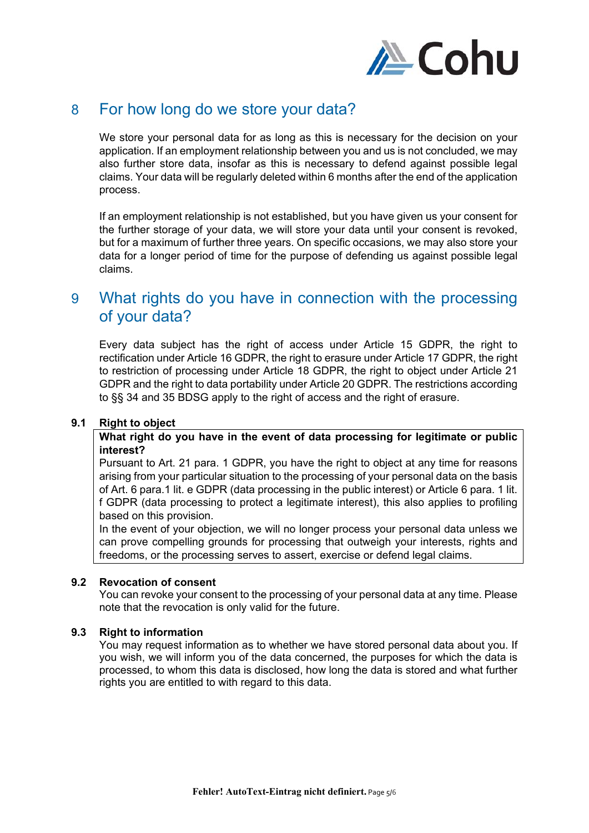

# 8 For how long do we store your data?

We store your personal data for as long as this is necessary for the decision on your application. If an employment relationship between you and us is not concluded, we may also further store data, insofar as this is necessary to defend against possible legal claims. Your data will be regularly deleted within 6 months after the end of the application process.

If an employment relationship is not established, but you have given us your consent for the further storage of your data, we will store your data until your consent is revoked, but for a maximum of further three years. On specific occasions, we may also store your data for a longer period of time for the purpose of defending us against possible legal claims.

# 9 What rights do you have in connection with the processing of your data?

Every data subject has the right of access under Article 15 GDPR, the right to rectification under Article 16 GDPR, the right to erasure under Article 17 GDPR, the right to restriction of processing under Article 18 GDPR, the right to object under Article 21 GDPR and the right to data portability under Article 20 GDPR. The restrictions according to §§ 34 and 35 BDSG apply to the right of access and the right of erasure.

### **9.1 Right to object**

**What right do you have in the event of data processing for legitimate or public interest?** 

Pursuant to Art. 21 para. 1 GDPR, you have the right to object at any time for reasons arising from your particular situation to the processing of your personal data on the basis of Art. 6 para.1 lit. e GDPR (data processing in the public interest) or Article 6 para. 1 lit. f GDPR (data processing to protect a legitimate interest), this also applies to profiling based on this provision.

In the event of your objection, we will no longer process your personal data unless we can prove compelling grounds for processing that outweigh your interests, rights and freedoms, or the processing serves to assert, exercise or defend legal claims.

### **9.2 Revocation of consent**

You can revoke your consent to the processing of your personal data at any time. Please note that the revocation is only valid for the future.

### **9.3 Right to information**

You may request information as to whether we have stored personal data about you. If you wish, we will inform you of the data concerned, the purposes for which the data is processed, to whom this data is disclosed, how long the data is stored and what further rights you are entitled to with regard to this data.